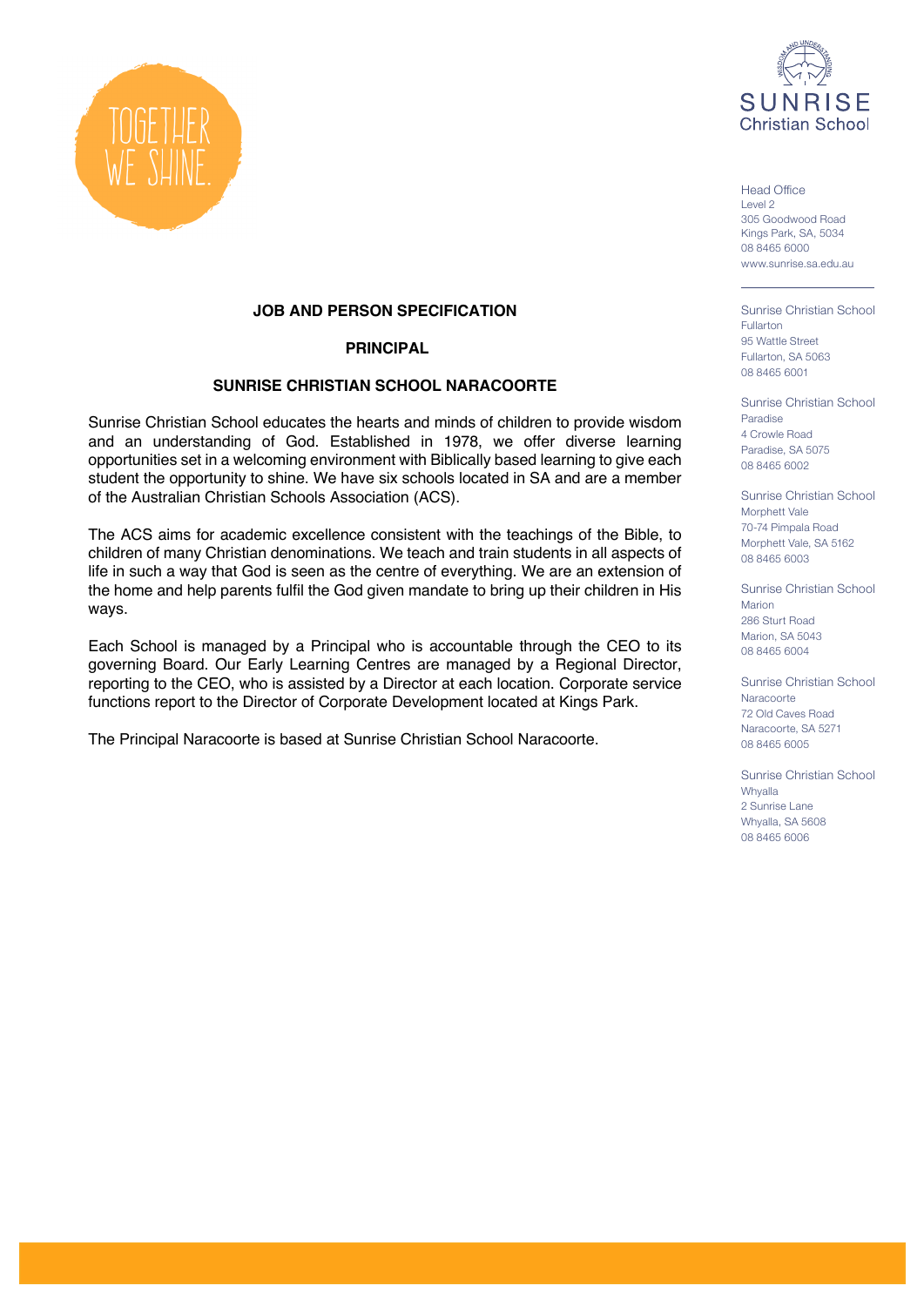



Head Office Level 2 305 Goodwood Road Kings Park, SA, 5034 08 8465 6000 www.sunrise.sa.edu.au

Sunrise Christian School Fullarton 95 Wattle Street Fullarton, SA 5063 08 8465 6001

Sunrise Christian School Paradise 4 Crowle Road Paradise, SA 5075 08 8465 6002

Sunrise Christian School Morphett Vale 70-74 Pimpala Road Morphett Vale, SA 5162 08 8465 6003

Sunrise Christian School Marion 286 Sturt Road Marion, SA 5043 08 8465 6004

Sunrise Christian School **Naracoorte** 72 Old Caves Road Naracoorte, SA 5271 08 8465 6005

Sunrise Christian School **Whyalla** 2 Sunrise Lane Whyalla, SA 5608 08 8465 6006

#### **JOB AND PERSON SPECIFICATION**

#### **PRINCIPAL**

#### **SUNRISE CHRISTIAN SCHOOL NARACOORTE**

Sunrise Christian School educates the hearts and minds of children to provide wisdom and an understanding of God. Established in 1978, we offer diverse learning opportunities set in a welcoming environment with Biblically based learning to give each student the opportunity to shine. We have six schools located in SA and are a member of the Australian Christian Schools Association (ACS).

The ACS aims for academic excellence consistent with the teachings of the Bible, to children of many Christian denominations. We teach and train students in all aspects of life in such a way that God is seen as the centre of everything. We are an extension of the home and help parents fulfil the God given mandate to bring up their children in His ways.

Each School is managed by a Principal who is accountable through the CEO to its governing Board. Our Early Learning Centres are managed by a Regional Director, reporting to the CEO, who is assisted by a Director at each location. Corporate service functions report to the Director of Corporate Development located at Kings Park.

The Principal Naracoorte is based at Sunrise Christian School Naracoorte.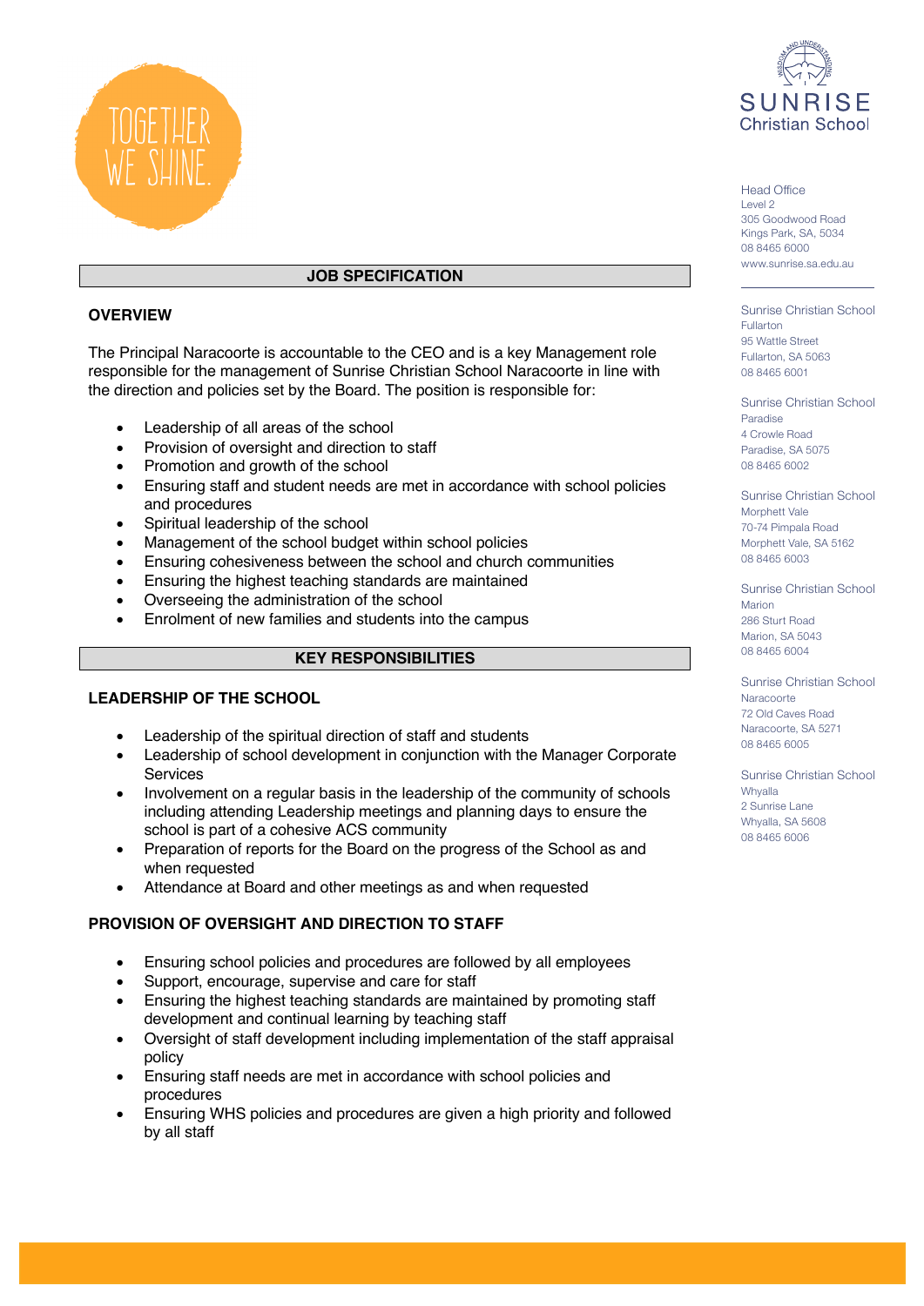

# **JOB SPECIFICATION**

# **OVERVIEW**

The Principal Naracoorte is accountable to the CEO and is a key Management role responsible for the management of Sunrise Christian School Naracoorte in line with the direction and policies set by the Board. The position is responsible for:

- Leadership of all areas of the school
- Provision of oversight and direction to staff
- Promotion and growth of the school
- Ensuring staff and student needs are met in accordance with school policies and procedures
- Spiritual leadership of the school
- Management of the school budget within school policies
- Ensuring cohesiveness between the school and church communities
- Ensuring the highest teaching standards are maintained
- Overseeing the administration of the school
- Enrolment of new families and students into the campus

# **KEY RESPONSIBILITIES**

### **LEADERSHIP OF THE SCHOOL**

- Leadership of the spiritual direction of staff and students
- Leadership of school development in conjunction with the Manager Corporate **Services**
- Involvement on a regular basis in the leadership of the community of schools including attending Leadership meetings and planning days to ensure the school is part of a cohesive ACS community
- Preparation of reports for the Board on the progress of the School as and when requested
- Attendance at Board and other meetings as and when requested

# **PROVISION OF OVERSIGHT AND DIRECTION TO STAFF**

- Ensuring school policies and procedures are followed by all employees
- Support, encourage, supervise and care for staff
- Ensuring the highest teaching standards are maintained by promoting staff development and continual learning by teaching staff
- Oversight of staff development including implementation of the staff appraisal policy
- Ensuring staff needs are met in accordance with school policies and procedures
- Ensuring WHS policies and procedures are given a high priority and followed by all staff



Head Office Level 2 305 Goodwood Road Kings Park, SA, 5034 08 8465 6000 www.sunrise.sa.edu.au

Sunrise Christian School Fullarton 95 Wattle Street Fullarton, SA 5063 08 8465 6001

Sunrise Christian School Paradise 4 Crowle Road Paradise, SA 5075 08 8465 6002

Sunrise Christian School Morphett Vale 70-74 Pimpala Road Morphett Vale, SA 5162 08 8465 6003

Sunrise Christian School Marion 286 Sturt Road Marion, SA 5043 08 8465 6004

Sunrise Christian School **Naracoorte** 72 Old Caves Road Naracoorte, SA 5271 08 8465 6005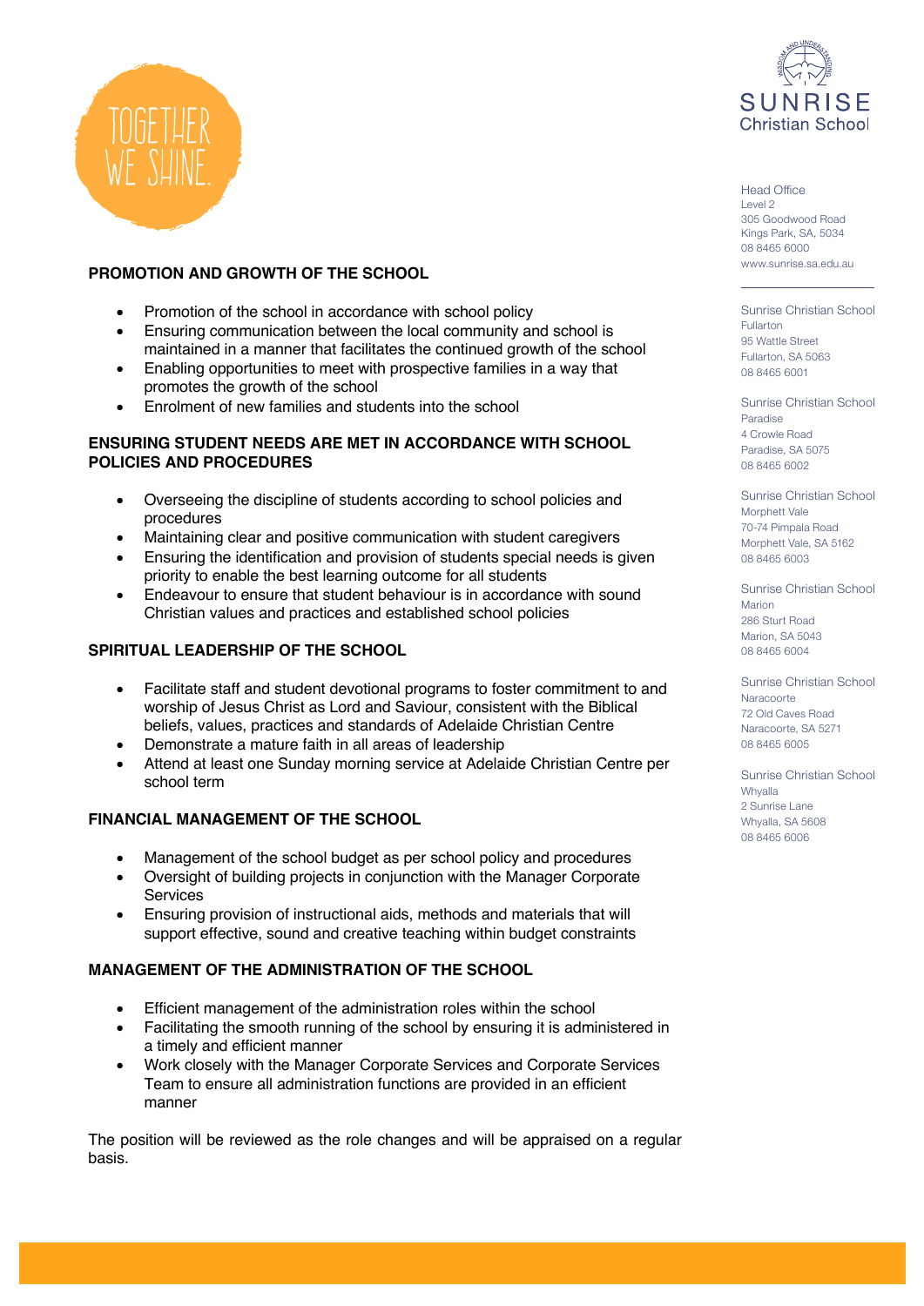

# **PROMOTION AND GROWTH OF THE SCHOOL**

- Promotion of the school in accordance with school policy
- Ensuring communication between the local community and school is maintained in a manner that facilitates the continued growth of the school
- Enabling opportunities to meet with prospective families in a way that promotes the growth of the school
- Enrolment of new families and students into the school

#### **ENSURING STUDENT NEEDS ARE MET IN ACCORDANCE WITH SCHOOL POLICIES AND PROCEDURES**

- Overseeing the discipline of students according to school policies and procedures
- Maintaining clear and positive communication with student caregivers
- Ensuring the identification and provision of students special needs is given priority to enable the best learning outcome for all students
- Endeavour to ensure that student behaviour is in accordance with sound Christian values and practices and established school policies

# **SPIRITUAL LEADERSHIP OF THE SCHOOL**

- Facilitate staff and student devotional programs to foster commitment to and worship of Jesus Christ as Lord and Saviour, consistent with the Biblical beliefs, values, practices and standards of Adelaide Christian Centre
- Demonstrate a mature faith in all areas of leadership
- Attend at least one Sunday morning service at Adelaide Christian Centre per school term

### **FINANCIAL MANAGEMENT OF THE SCHOOL**

- Management of the school budget as per school policy and procedures
- Oversight of building projects in conjunction with the Manager Corporate **Services**
- Ensuring provision of instructional aids, methods and materials that will support effective, sound and creative teaching within budget constraints

### **MANAGEMENT OF THE ADMINISTRATION OF THE SCHOOL**

- Efficient management of the administration roles within the school
- Facilitating the smooth running of the school by ensuring it is administered in a timely and efficient manner
- Work closely with the Manager Corporate Services and Corporate Services Team to ensure all administration functions are provided in an efficient manner

The position will be reviewed as the role changes and will be appraised on a regular basis.



Head Office Level 2 305 Goodwood Road Kings Park, SA, 5034 08 8465 6000 www.sunrise.sa.edu.au

Sunrise Christian School Fullarton 95 Wattle Street Fullarton, SA 5063 08 8465 6001

Sunrise Christian School Paradise 4 Crowle Road Paradise, SA 5075 08 8465 6002

Sunrise Christian School Morphett Vale 70-74 Pimpala Road Morphett Vale, SA 5162 08 8465 6003

Sunrise Christian School Marion 286 Sturt Road Marion, SA 5043 08 8465 6004

Sunrise Christian School **Naracoorte** 72 Old Caves Road Naracoorte, SA 5271 08 8465 6005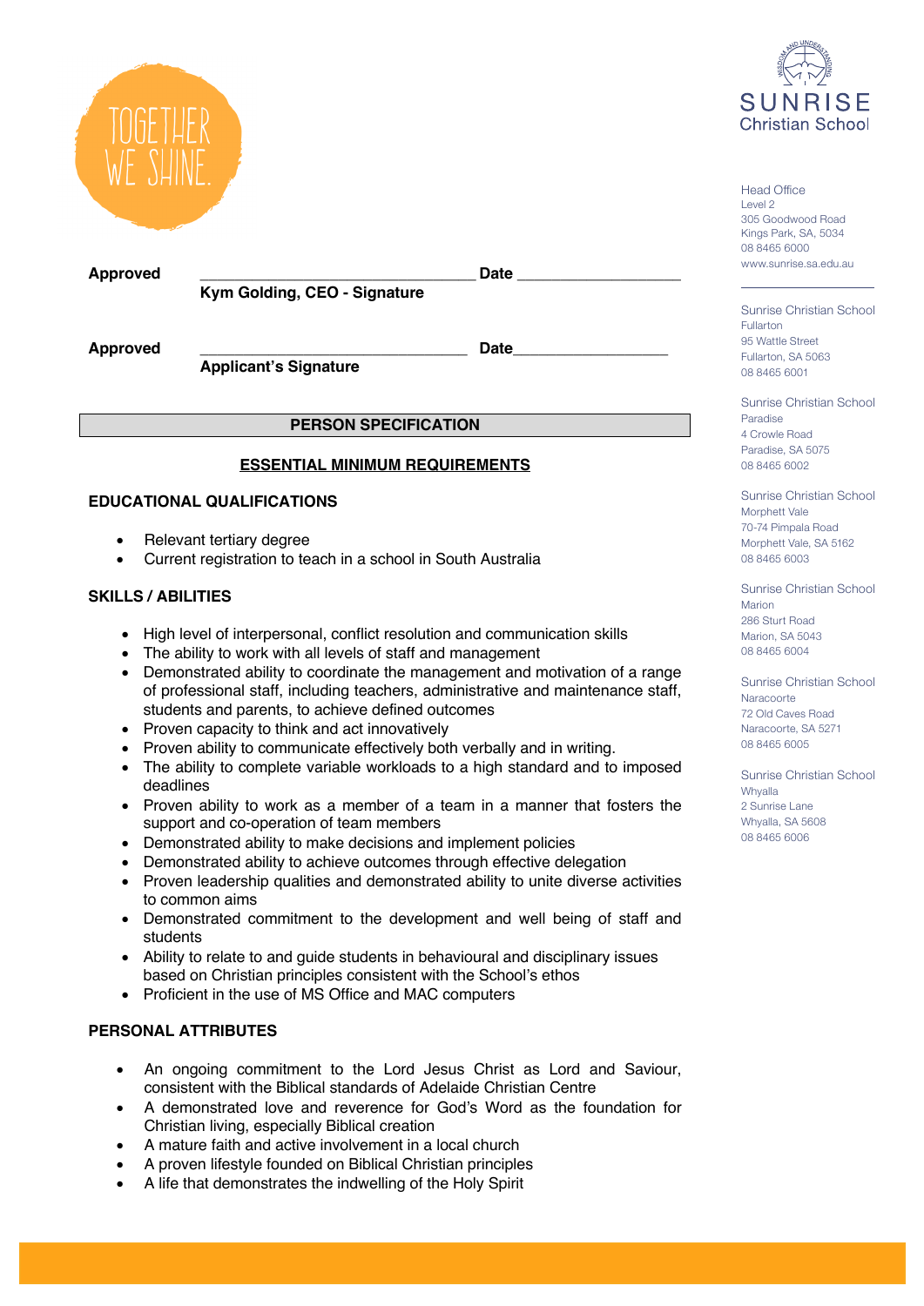



**Approved \_\_\_\_\_\_\_\_\_\_\_\_\_\_\_\_\_\_\_\_\_\_\_\_\_\_\_\_\_\_\_\_ Date \_\_\_\_\_\_\_\_\_\_\_\_\_\_\_\_\_\_\_ Kym Golding, CEO - Signature**

**Approved \_\_\_\_\_\_\_\_\_\_\_\_\_\_\_\_\_\_\_\_\_\_\_\_\_\_\_\_\_\_\_ Date\_\_\_\_\_\_\_\_\_\_\_\_\_\_\_\_\_\_**

**Applicant's Signature** 

# **PERSON SPECIFICATION**

# **ESSENTIAL MINIMUM REQUIREMENTS**

# **EDUCATIONAL QUALIFICATIONS**

- Relevant tertiary degree
- Current registration to teach in a school in South Australia

# **SKILLS / ABILITIES**

- High level of interpersonal, conflict resolution and communication skills
- The ability to work with all levels of staff and management
- Demonstrated ability to coordinate the management and motivation of a range of professional staff, including teachers, administrative and maintenance staff, students and parents, to achieve defined outcomes
- Proven capacity to think and act innovatively
- Proven ability to communicate effectively both verbally and in writing.
- The ability to complete variable workloads to a high standard and to imposed deadlines
- Proven ability to work as a member of a team in a manner that fosters the support and co-operation of team members
- Demonstrated ability to make decisions and implement policies
- Demonstrated ability to achieve outcomes through effective delegation
- Proven leadership qualities and demonstrated ability to unite diverse activities to common aims
- Demonstrated commitment to the development and well being of staff and students
- Ability to relate to and guide students in behavioural and disciplinary issues based on Christian principles consistent with the School's ethos
- Proficient in the use of MS Office and MAC computers

# **PERSONAL ATTRIBUTES**

- An ongoing commitment to the Lord Jesus Christ as Lord and Saviour, consistent with the Biblical standards of Adelaide Christian Centre
- A demonstrated love and reverence for God's Word as the foundation for Christian living, especially Biblical creation
- A mature faith and active involvement in a local church
- A proven lifestyle founded on Biblical Christian principles
- A life that demonstrates the indwelling of the Holy Spirit

Head Office Level 2 305 Goodwood Road Kings Park, SA, 5034 08 8465 6000 www.sunrise.sa.edu.au

Sunrise Christian School Fullarton 95 Wattle Street Fullarton, SA 5063 08 8465 6001

Sunrise Christian School Paradise 4 Crowle Road Paradise, SA 5075 08 8465 6002

Sunrise Christian School Morphett Vale 70-74 Pimpala Road Morphett Vale, SA 5162 08 8465 6003

Sunrise Christian School Marion 286 Sturt Road Marion, SA 5043 08 8465 6004

Sunrise Christian School **Naracoorte** 72 Old Caves Road Naracoorte, SA 5271 08 8465 6005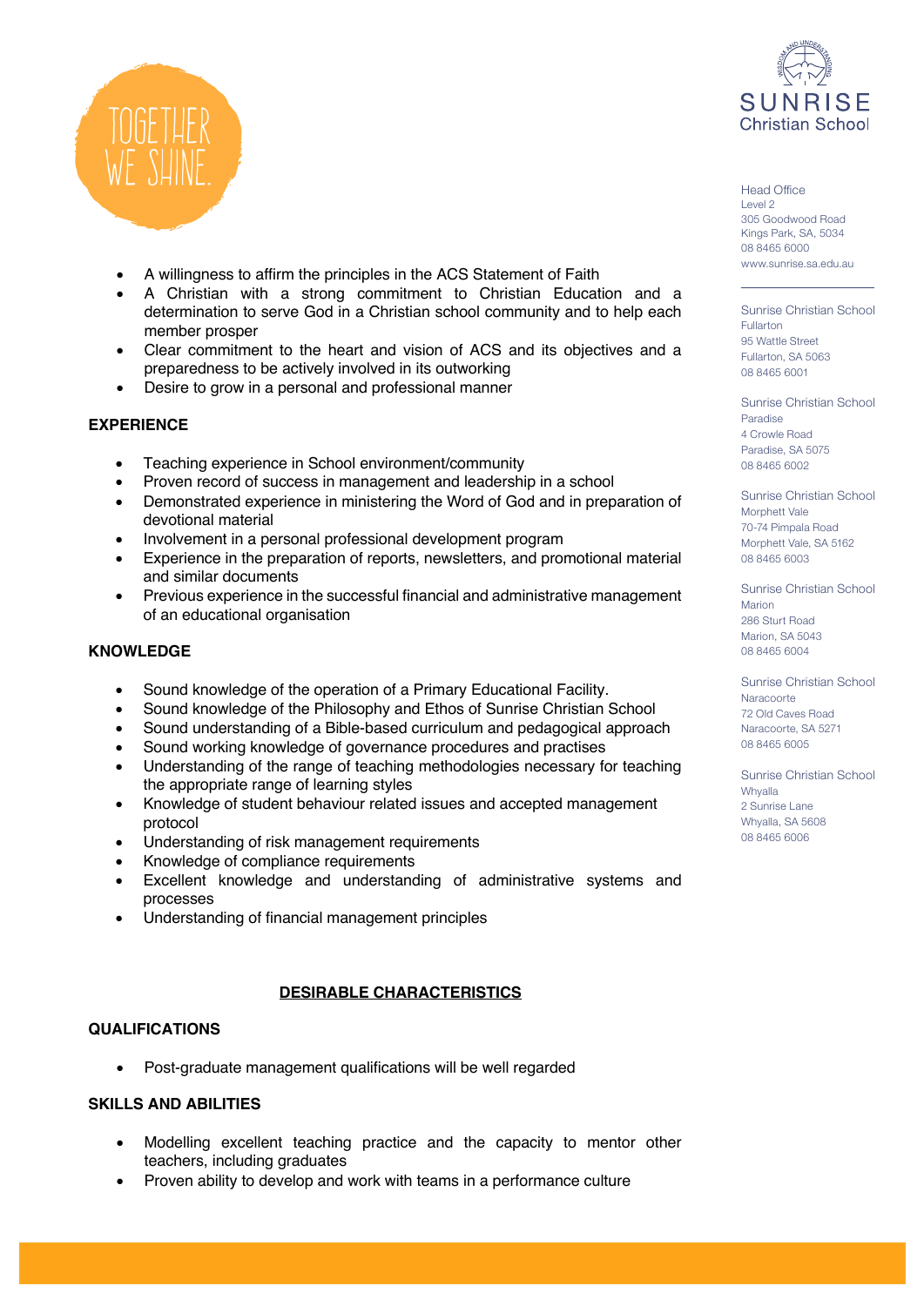

- A willingness to affirm the principles in the ACS Statement of Faith
- A Christian with a strong commitment to Christian Education and a determination to serve God in a Christian school community and to help each member prosper
- Clear commitment to the heart and vision of ACS and its objectives and a preparedness to be actively involved in its outworking
- Desire to grow in a personal and professional manner

# **EXPERIENCE**

- Teaching experience in School environment/community
- Proven record of success in management and leadership in a school
- Demonstrated experience in ministering the Word of God and in preparation of devotional material
- Involvement in a personal professional development program
- Experience in the preparation of reports, newsletters, and promotional material and similar documents
- Previous experience in the successful financial and administrative management of an educational organisation

#### **KNOWLEDGE**

- Sound knowledge of the operation of a Primary Educational Facility.
- Sound knowledge of the Philosophy and Ethos of Sunrise Christian School
- Sound understanding of a Bible-based curriculum and pedagogical approach
- Sound working knowledge of governance procedures and practises
- Understanding of the range of teaching methodologies necessary for teaching the appropriate range of learning styles
- Knowledge of student behaviour related issues and accepted management protocol
- Understanding of risk management requirements
- Knowledge of compliance requirements
- Excellent knowledge and understanding of administrative systems and processes
- Understanding of financial management principles

## **DESIRABLE CHARACTERISTICS**

#### **QUALIFICATIONS**

• Post-graduate management qualifications will be well regarded

#### **SKILLS AND ABILITIES**

- Modelling excellent teaching practice and the capacity to mentor other teachers, including graduates
- Proven ability to develop and work with teams in a performance culture



Head Office Level 2 305 Goodwood Road Kings Park, SA, 5034 08 8465 6000 www.sunrise.sa.edu.au

Sunrise Christian School Fullarton 95 Wattle Street Fullarton, SA 5063 08 8465 6001

Sunrise Christian School Paradise 4 Crowle Road Paradise, SA 5075 08 8465 6002

Sunrise Christian School Morphett Vale 70-74 Pimpala Road Morphett Vale, SA 5162 08 8465 6003

Sunrise Christian School Marion 286 Sturt Road Marion, SA 5043 08 8465 6004

Sunrise Christian School **Naracoorte** 72 Old Caves Road Naracoorte, SA 5271 08 8465 6005